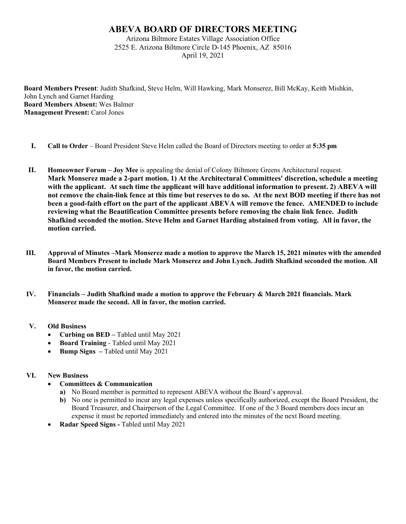## **ABEVA BOARD OF DIRECTORS MEETING**

Arizona Biltmore Estates Village Association Office 2525 E. Arizona Biltmore Circle D-145 Phoenix, AZ 85016 April 19, 2021

**Board Members Present**: Judith Shafkind, Steve Helm, Will Hawking, Mark Monserez, Bill McKay, Keith Mishkin, John Lynch and Garnet Harding **Board Members Absent:** Wes Balmer **Management Present: Carol Jones** 

- **I. Call to Order** Board President Steve Helm called the Board of Directors meeting to order at **5:35 pm**
- **II. Homeowner Forum – Joy Mee** is appealing the denial of Colony Biltmore Greens Architectural request. **Mark Monserez made a 2-part motion. 1) At the Architectural Committees' discretion, schedule a meeting with the applicant. At such time the applicant will have additional information to present. 2) ABEVA will not remove the chain-link fence at this time but reserves to do so. At the next BOD meeting if there has not been a good-faith effort on the part of the applicant ABEVA will remove the fence. AMENDED to include reviewing what the Beautification Committee presents before removing the chain link fence. Judith Shafkind seconded the motion. Steve Helm and Garnet Harding abstained from voting. All in favor, the motion carried.**
- **III. Approval of Minutes –Mark Monserez made a motion to approve the March 15, 2021 minutes with the amended Board Members Present to include Mark Monserez and John Lynch. Judith Shafkind seconded the motion. All in favor, the motion carried.**
- **IV. Financials – Judith Shafkind made a motion to approve the February & March 2021 financials. Mark Monserez made the second. All in favor, the motion carried.**

## **V. Old Business**

- **Curbing on BED –** Tabled until May 2021
- **Board Training** Tabled until May 2021
- **Bump Signs –** Tabled until May 2021

## **VI. New Business**

- **Committees & Communication**
	- **a)** No Board member is permitted to represent ABEVA without the Board's approval.
	- **b)** No one is permitted to incur any legal expenses unless specifically authorized, except the Board President, the Board Treasurer, and Chairperson of the Legal Committee. If one of the 3 Board members does incur an expense it must be reported immediately and entered into the minutes of the next Board meeting.
- **Radar Speed Signs -** Tabled until May 2021